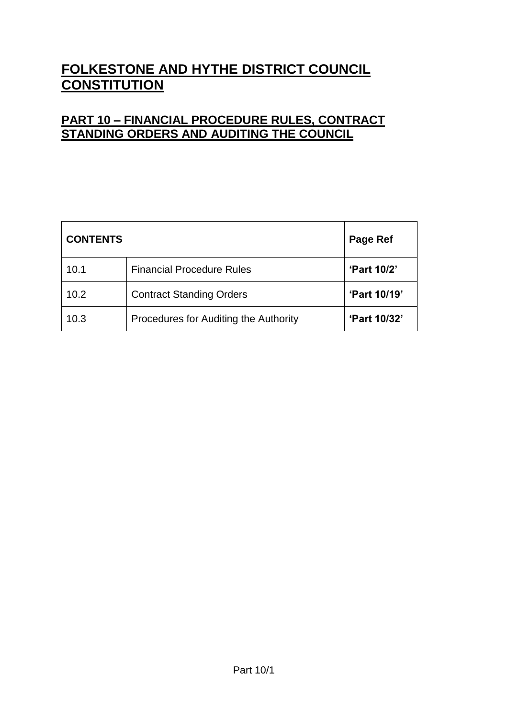# **FOLKESTONE AND HYTHE DISTRICT COUNCIL CONSTITUTION**

## **PART 10 – FINANCIAL PROCEDURE RULES, CONTRACT STANDING ORDERS AND AUDITING THE COUNCIL**

| <b>CONTENTS</b> |                                       | Page Ref           |
|-----------------|---------------------------------------|--------------------|
| 10.1            | <b>Financial Procedure Rules</b>      | <b>'Part 10/2'</b> |
| 10.2            | <b>Contract Standing Orders</b>       | 'Part 10/19'       |
| 10.3            | Procedures for Auditing the Authority | 'Part 10/32'       |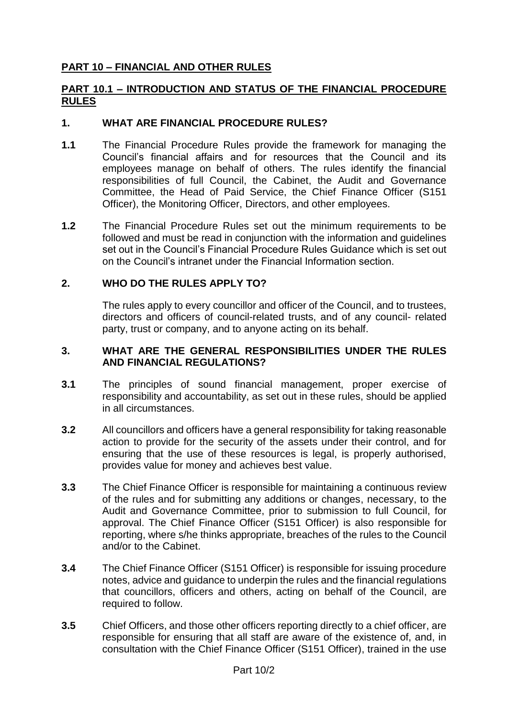## **PART 10 – FINANCIAL AND OTHER RULES**

#### **PART 10.1 – INTRODUCTION AND STATUS OF THE FINANCIAL PROCEDURE RULES**

#### **1. WHAT ARE FINANCIAL PROCEDURE RULES?**

- **1.1** The Financial Procedure Rules provide the framework for managing the Council's financial affairs and for resources that the Council and its employees manage on behalf of others. The rules identify the financial responsibilities of full Council, the Cabinet, the Audit and Governance Committee, the Head of Paid Service, the Chief Finance Officer (S151 Officer), the Monitoring Officer, Directors, and other employees.
- **1.2** The Financial Procedure Rules set out the minimum requirements to be followed and must be read in conjunction with the information and guidelines set out in the Council's Financial Procedure Rules Guidance which is set out on the Council's intranet under the Financial Information section.

#### **2. WHO DO THE RULES APPLY TO?**

The rules apply to every councillor and officer of the Council, and to trustees, directors and officers of council-related trusts, and of any council- related party, trust or company, and to anyone acting on its behalf.

## **3. WHAT ARE THE GENERAL RESPONSIBILITIES UNDER THE RULES AND FINANCIAL REGULATIONS?**

- **3.1** The principles of sound financial management, proper exercise of responsibility and accountability, as set out in these rules, should be applied in all circumstances.
- **3.2** All councillors and officers have a general responsibility for taking reasonable action to provide for the security of the assets under their control, and for ensuring that the use of these resources is legal, is properly authorised, provides value for money and achieves best value.
- **3.3** The Chief Finance Officer is responsible for maintaining a continuous review of the rules and for submitting any additions or changes, necessary, to the Audit and Governance Committee, prior to submission to full Council, for approval. The Chief Finance Officer (S151 Officer) is also responsible for reporting, where s/he thinks appropriate, breaches of the rules to the Council and/or to the Cabinet.
- **3.4** The Chief Finance Officer (S151 Officer) is responsible for issuing procedure notes, advice and guidance to underpin the rules and the financial regulations that councillors, officers and others, acting on behalf of the Council, are required to follow.
- **3.5** Chief Officers, and those other officers reporting directly to a chief officer, are responsible for ensuring that all staff are aware of the existence of, and, in consultation with the Chief Finance Officer (S151 Officer), trained in the use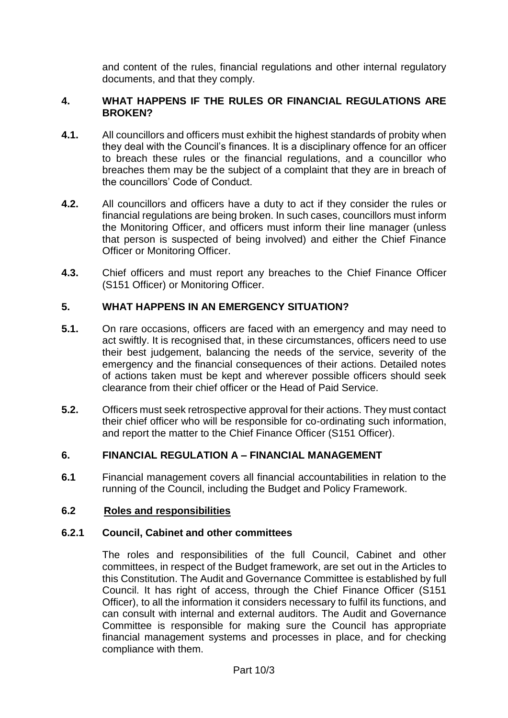and content of the rules, financial regulations and other internal regulatory documents, and that they comply.

## **4. WHAT HAPPENS IF THE RULES OR FINANCIAL REGULATIONS ARE BROKEN?**

- **4.1.** All councillors and officers must exhibit the highest standards of probity when they deal with the Council's finances. It is a disciplinary offence for an officer to breach these rules or the financial regulations, and a councillor who breaches them may be the subject of a complaint that they are in breach of the councillors' Code of Conduct.
- **4.2.** All councillors and officers have a duty to act if they consider the rules or financial regulations are being broken. In such cases, councillors must inform the Monitoring Officer, and officers must inform their line manager (unless that person is suspected of being involved) and either the Chief Finance Officer or Monitoring Officer.
- **4.3.** Chief officers and must report any breaches to the Chief Finance Officer (S151 Officer) or Monitoring Officer.

## **5. WHAT HAPPENS IN AN EMERGENCY SITUATION?**

- **5.1.** On rare occasions, officers are faced with an emergency and may need to act swiftly. It is recognised that, in these circumstances, officers need to use their best judgement, balancing the needs of the service, severity of the emergency and the financial consequences of their actions. Detailed notes of actions taken must be kept and wherever possible officers should seek clearance from their chief officer or the Head of Paid Service.
- **5.2.** Officers must seek retrospective approval for their actions. They must contact their chief officer who will be responsible for co-ordinating such information, and report the matter to the Chief Finance Officer (S151 Officer).

## **6. FINANCIAL REGULATION A – FINANCIAL MANAGEMENT**

**6.1** Financial management covers all financial accountabilities in relation to the running of the Council, including the Budget and Policy Framework.

## **6.2 Roles and responsibilities**

## **6.2.1 Council, Cabinet and other committees**

The roles and responsibilities of the full Council, Cabinet and other committees, in respect of the Budget framework, are set out in the Articles to this Constitution. The Audit and Governance Committee is established by full Council. It has right of access, through the Chief Finance Officer (S151 Officer), to all the information it considers necessary to fulfil its functions, and can consult with internal and external auditors. The Audit and Governance Committee is responsible for making sure the Council has appropriate financial management systems and processes in place, and for checking compliance with them.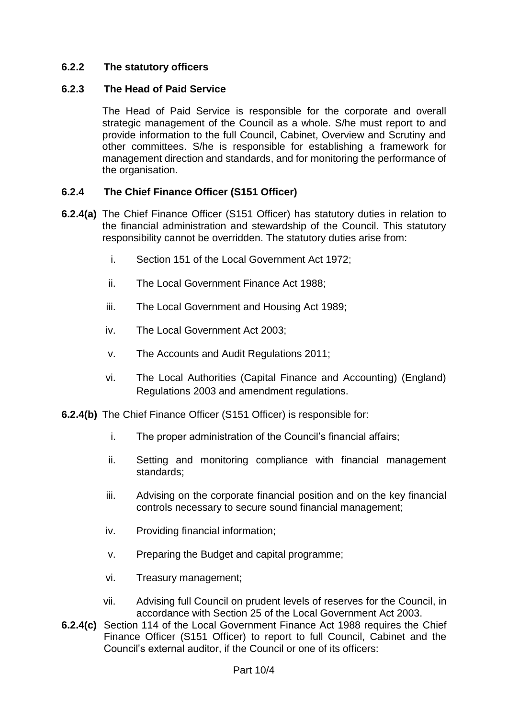## **6.2.2 The statutory officers**

#### **6.2.3 The Head of Paid Service**

The Head of Paid Service is responsible for the corporate and overall strategic management of the Council as a whole. S/he must report to and provide information to the full Council, Cabinet, Overview and Scrutiny and other committees. S/he is responsible for establishing a framework for management direction and standards, and for monitoring the performance of the organisation.

## **6.2.4 The Chief Finance Officer (S151 Officer)**

- **6.2.4(a)** The Chief Finance Officer (S151 Officer) has statutory duties in relation to the financial administration and stewardship of the Council. This statutory responsibility cannot be overridden. The statutory duties arise from:
	- i. Section 151 of the Local Government Act 1972;
	- ii. The Local Government Finance Act 1988;
	- iii. The Local Government and Housing Act 1989;
	- iv. The Local Government Act 2003;
	- v. The Accounts and Audit Regulations 2011;
	- vi. The Local Authorities (Capital Finance and Accounting) (England) Regulations 2003 and amendment regulations.
- **6.2.4(b)** The Chief Finance Officer (S151 Officer) is responsible for:
	- i. The proper administration of the Council's financial affairs;
	- ii. Setting and monitoring compliance with financial management standards;
	- iii. Advising on the corporate financial position and on the key financial controls necessary to secure sound financial management;
	- iv. Providing financial information;
	- v. Preparing the Budget and capital programme;
	- vi. Treasury management;
	- vii. Advising full Council on prudent levels of reserves for the Council, in accordance with Section 25 of the Local Government Act 2003.
- **6.2.4(c)** Section 114 of the Local Government Finance Act 1988 requires the Chief Finance Officer (S151 Officer) to report to full Council, Cabinet and the Council's external auditor, if the Council or one of its officers: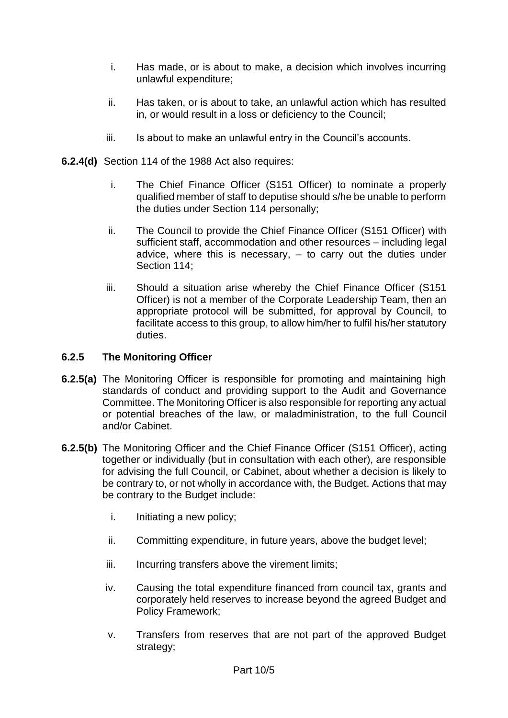- i. Has made, or is about to make, a decision which involves incurring unlawful expenditure;
- ii. Has taken, or is about to take, an unlawful action which has resulted in, or would result in a loss or deficiency to the Council;
- iii. Is about to make an unlawful entry in the Council's accounts.
- **6.2.4(d)** Section 114 of the 1988 Act also requires:
	- i. The Chief Finance Officer (S151 Officer) to nominate a properly qualified member of staff to deputise should s/he be unable to perform the duties under Section 114 personally;
	- ii. The Council to provide the Chief Finance Officer (S151 Officer) with sufficient staff, accommodation and other resources – including legal advice, where this is necessary, – to carry out the duties under Section 114;
	- iii. Should a situation arise whereby the Chief Finance Officer (S151 Officer) is not a member of the Corporate Leadership Team, then an appropriate protocol will be submitted, for approval by Council, to facilitate access to this group, to allow him/her to fulfil his/her statutory duties.

#### **6.2.5 The Monitoring Officer**

- **6.2.5(a)** The Monitoring Officer is responsible for promoting and maintaining high standards of conduct and providing support to the Audit and Governance Committee. The Monitoring Officer is also responsible for reporting any actual or potential breaches of the law, or maladministration, to the full Council and/or Cabinet.
- **6.2.5(b)** The Monitoring Officer and the Chief Finance Officer (S151 Officer), acting together or individually (but in consultation with each other), are responsible for advising the full Council, or Cabinet, about whether a decision is likely to be contrary to, or not wholly in accordance with, the Budget. Actions that may be contrary to the Budget include:
	- i. Initiating a new policy;
	- ii. Committing expenditure, in future years, above the budget level;
	- iii. Incurring transfers above the virement limits;
	- iv. Causing the total expenditure financed from council tax, grants and corporately held reserves to increase beyond the agreed Budget and Policy Framework;
	- v. Transfers from reserves that are not part of the approved Budget strategy;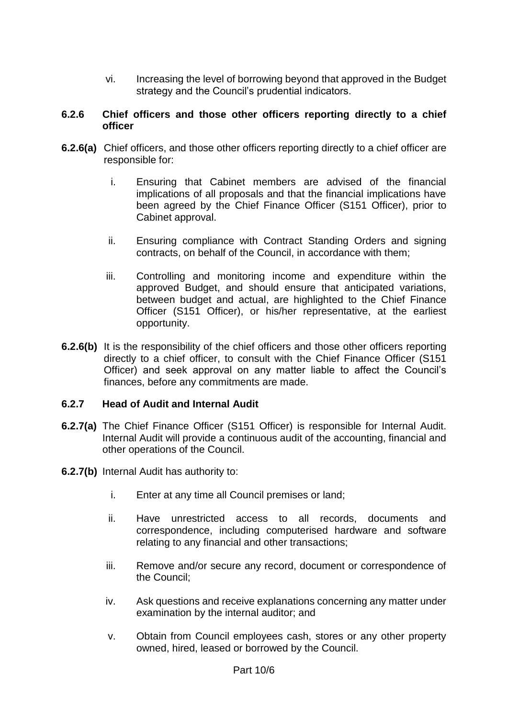vi. Increasing the level of borrowing beyond that approved in the Budget strategy and the Council's prudential indicators.

#### **6.2.6 Chief officers and those other officers reporting directly to a chief officer**

- **6.2.6(a)** Chief officers, and those other officers reporting directly to a chief officer are responsible for:
	- i. Ensuring that Cabinet members are advised of the financial implications of all proposals and that the financial implications have been agreed by the Chief Finance Officer (S151 Officer), prior to Cabinet approval.
	- ii. Ensuring compliance with Contract Standing Orders and signing contracts, on behalf of the Council, in accordance with them;
	- iii. Controlling and monitoring income and expenditure within the approved Budget, and should ensure that anticipated variations, between budget and actual, are highlighted to the Chief Finance Officer (S151 Officer), or his/her representative, at the earliest opportunity.
- **6.2.6(b)** It is the responsibility of the chief officers and those other officers reporting directly to a chief officer, to consult with the Chief Finance Officer (S151 Officer) and seek approval on any matter liable to affect the Council's finances, before any commitments are made.

#### **6.2.7 Head of Audit and Internal Audit**

- **6.2.7(a)** The Chief Finance Officer (S151 Officer) is responsible for Internal Audit. Internal Audit will provide a continuous audit of the accounting, financial and other operations of the Council.
- **6.2.7(b)** Internal Audit has authority to:
	- i. Enter at any time all Council premises or land;
	- ii. Have unrestricted access to all records, documents and correspondence, including computerised hardware and software relating to any financial and other transactions;
	- iii. Remove and/or secure any record, document or correspondence of the Council;
	- iv. Ask questions and receive explanations concerning any matter under examination by the internal auditor; and
	- v. Obtain from Council employees cash, stores or any other property owned, hired, leased or borrowed by the Council.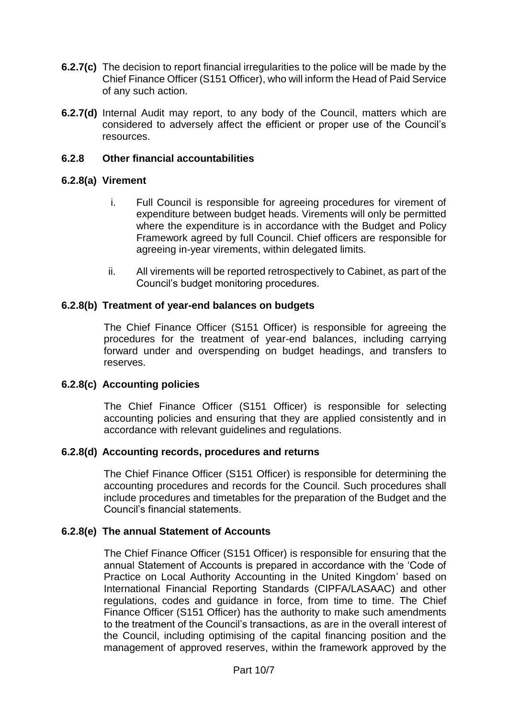- **6.2.7(c)** The decision to report financial irregularities to the police will be made by the Chief Finance Officer (S151 Officer), who will inform the Head of Paid Service of any such action.
- **6.2.7(d)** Internal Audit may report, to any body of the Council, matters which are considered to adversely affect the efficient or proper use of the Council's resources.

#### **6.2.8 Other financial accountabilities**

#### **6.2.8(a) Virement**

- i. Full Council is responsible for agreeing procedures for virement of expenditure between budget heads. Virements will only be permitted where the expenditure is in accordance with the Budget and Policy Framework agreed by full Council. Chief officers are responsible for agreeing in-year virements, within delegated limits.
- ii. All virements will be reported retrospectively to Cabinet, as part of the Council's budget monitoring procedures.

#### **6.2.8(b) Treatment of year-end balances on budgets**

The Chief Finance Officer (S151 Officer) is responsible for agreeing the procedures for the treatment of year-end balances, including carrying forward under and overspending on budget headings, and transfers to reserves.

#### **6.2.8(c) Accounting policies**

The Chief Finance Officer (S151 Officer) is responsible for selecting accounting policies and ensuring that they are applied consistently and in accordance with relevant guidelines and regulations.

#### **6.2.8(d) Accounting records, procedures and returns**

The Chief Finance Officer (S151 Officer) is responsible for determining the accounting procedures and records for the Council. Such procedures shall include procedures and timetables for the preparation of the Budget and the Council's financial statements.

#### **6.2.8(e) The annual Statement of Accounts**

The Chief Finance Officer (S151 Officer) is responsible for ensuring that the annual Statement of Accounts is prepared in accordance with the 'Code of Practice on Local Authority Accounting in the United Kingdom' based on International Financial Reporting Standards (CIPFA/LASAAC) and other regulations, codes and guidance in force, from time to time. The Chief Finance Officer (S151 Officer) has the authority to make such amendments to the treatment of the Council's transactions, as are in the overall interest of the Council, including optimising of the capital financing position and the management of approved reserves, within the framework approved by the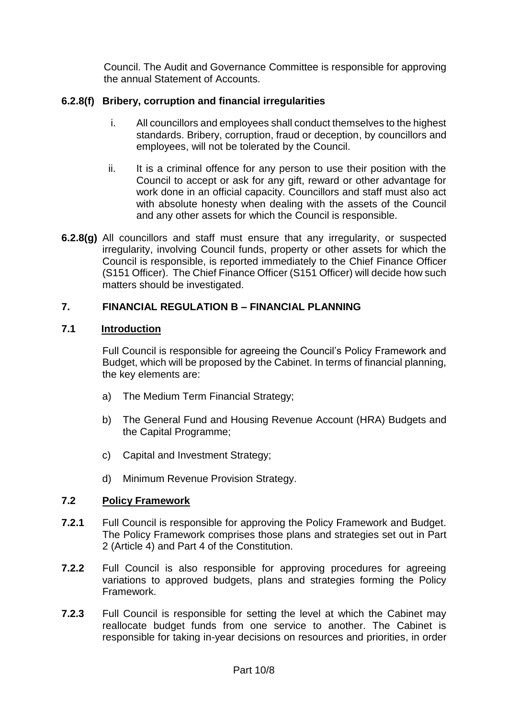Council. The Audit and Governance Committee is responsible for approving the annual Statement of Accounts.

## **6.2.8(f) Bribery, corruption and financial irregularities**

- i. All councillors and employees shall conduct themselves to the highest standards. Bribery, corruption, fraud or deception, by councillors and employees, will not be tolerated by the Council.
- ii. It is a criminal offence for any person to use their position with the Council to accept or ask for any gift, reward or other advantage for work done in an official capacity. Councillors and staff must also act with absolute honesty when dealing with the assets of the Council and any other assets for which the Council is responsible.
- **6.2.8(g)** All councillors and staff must ensure that any irregularity, or suspected irregularity, involving Council funds, property or other assets for which the Council is responsible, is reported immediately to the Chief Finance Officer (S151 Officer). The Chief Finance Officer (S151 Officer) will decide how such matters should be investigated.

## **7. FINANCIAL REGULATION B – FINANCIAL PLANNING**

#### **7.1 Introduction**

Full Council is responsible for agreeing the Council's Policy Framework and Budget, which will be proposed by the Cabinet. In terms of financial planning, the key elements are:

- a) The Medium Term Financial Strategy;
- b) The General Fund and Housing Revenue Account (HRA) Budgets and the Capital Programme;
- c) Capital and Investment Strategy;
- d) Minimum Revenue Provision Strategy.

## **7.2 Policy Framework**

- **7.2.1** Full Council is responsible for approving the Policy Framework and Budget. The Policy Framework comprises those plans and strategies set out in Part 2 (Article 4) and Part 4 of the Constitution.
- **7.2.2** Full Council is also responsible for approving procedures for agreeing variations to approved budgets, plans and strategies forming the Policy Framework.
- **7.2.3** Full Council is responsible for setting the level at which the Cabinet may reallocate budget funds from one service to another. The Cabinet is responsible for taking in-year decisions on resources and priorities, in order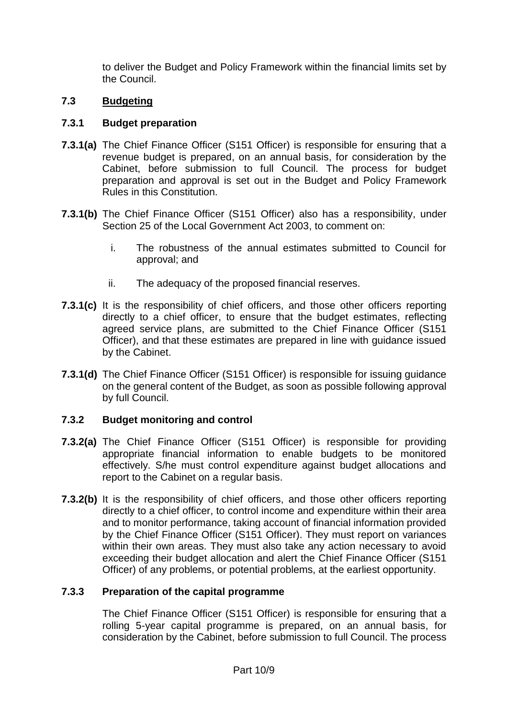to deliver the Budget and Policy Framework within the financial limits set by the Council.

## **7.3 Budgeting**

## **7.3.1 Budget preparation**

- **7.3.1(a)** The Chief Finance Officer (S151 Officer) is responsible for ensuring that a revenue budget is prepared, on an annual basis, for consideration by the Cabinet, before submission to full Council. The process for budget preparation and approval is set out in the Budget and Policy Framework Rules in this Constitution.
- **7.3.1(b)** The Chief Finance Officer (S151 Officer) also has a responsibility, under Section 25 of the Local Government Act 2003, to comment on:
	- i. The robustness of the annual estimates submitted to Council for approval; and
	- ii. The adequacy of the proposed financial reserves.
- **7.3.1(c)** It is the responsibility of chief officers, and those other officers reporting directly to a chief officer, to ensure that the budget estimates, reflecting agreed service plans, are submitted to the Chief Finance Officer (S151 Officer), and that these estimates are prepared in line with guidance issued by the Cabinet.
- **7.3.1(d)** The Chief Finance Officer (S151 Officer) is responsible for issuing guidance on the general content of the Budget, as soon as possible following approval by full Council.

## **7.3.2 Budget monitoring and control**

- **7.3.2(a)** The Chief Finance Officer (S151 Officer) is responsible for providing appropriate financial information to enable budgets to be monitored effectively. S/he must control expenditure against budget allocations and report to the Cabinet on a regular basis.
- **7.3.2(b)** It is the responsibility of chief officers, and those other officers reporting directly to a chief officer, to control income and expenditure within their area and to monitor performance, taking account of financial information provided by the Chief Finance Officer (S151 Officer). They must report on variances within their own areas. They must also take any action necessary to avoid exceeding their budget allocation and alert the Chief Finance Officer (S151 Officer) of any problems, or potential problems, at the earliest opportunity.

## **7.3.3 Preparation of the capital programme**

The Chief Finance Officer (S151 Officer) is responsible for ensuring that a rolling 5-year capital programme is prepared, on an annual basis, for consideration by the Cabinet, before submission to full Council. The process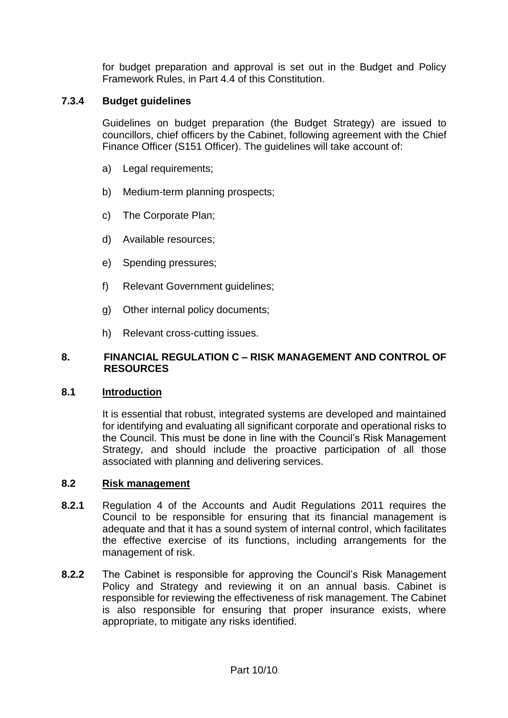for budget preparation and approval is set out in the Budget and Policy Framework Rules, in Part 4.4 of this Constitution.

## **7.3.4 Budget guidelines**

Guidelines on budget preparation (the Budget Strategy) are issued to councillors, chief officers by the Cabinet, following agreement with the Chief Finance Officer (S151 Officer). The guidelines will take account of:

- a) Legal requirements:
- b) Medium-term planning prospects;
- c) The Corporate Plan;
- d) Available resources;
- e) Spending pressures;
- f) Relevant Government quidelines:
- g) Other internal policy documents;
- h) Relevant cross-cutting issues.

#### **8. FINANCIAL REGULATION C – RISK MANAGEMENT AND CONTROL OF RESOURCES**

#### **8.1 Introduction**

It is essential that robust, integrated systems are developed and maintained for identifying and evaluating all significant corporate and operational risks to the Council. This must be done in line with the Council's Risk Management Strategy, and should include the proactive participation of all those associated with planning and delivering services.

#### **8.2 Risk management**

- **8.2.1** Regulation 4 of the Accounts and Audit Regulations 2011 requires the Council to be responsible for ensuring that its financial management is adequate and that it has a sound system of internal control, which facilitates the effective exercise of its functions, including arrangements for the management of risk.
- **8.2.2** The Cabinet is responsible for approving the Council's Risk Management Policy and Strategy and reviewing it on an annual basis. Cabinet is responsible for reviewing the effectiveness of risk management. The Cabinet is also responsible for ensuring that proper insurance exists, where appropriate, to mitigate any risks identified.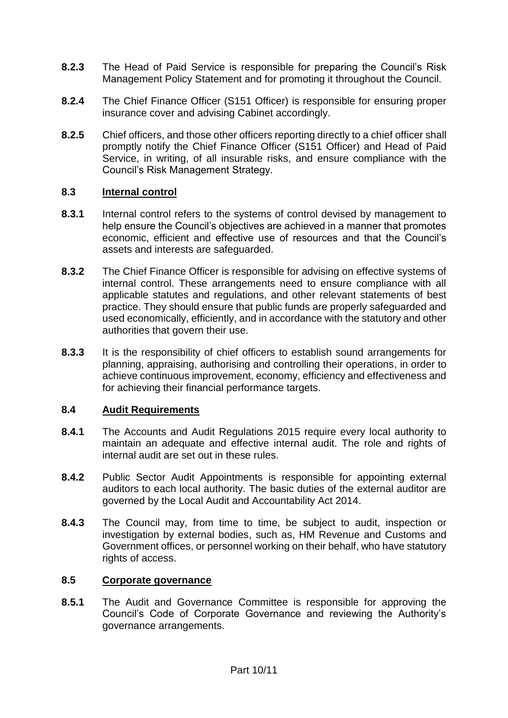- **8.2.3** The Head of Paid Service is responsible for preparing the Council's Risk Management Policy Statement and for promoting it throughout the Council.
- **8.2.4** The Chief Finance Officer (S151 Officer) is responsible for ensuring proper insurance cover and advising Cabinet accordingly.
- **8.2.5** Chief officers, and those other officers reporting directly to a chief officer shall promptly notify the Chief Finance Officer (S151 Officer) and Head of Paid Service, in writing, of all insurable risks, and ensure compliance with the Council's Risk Management Strategy.

#### **8.3 Internal control**

- **8.3.1** Internal control refers to the systems of control devised by management to help ensure the Council's objectives are achieved in a manner that promotes economic, efficient and effective use of resources and that the Council's assets and interests are safeguarded.
- **8.3.2** The Chief Finance Officer is responsible for advising on effective systems of internal control. These arrangements need to ensure compliance with all applicable statutes and regulations, and other relevant statements of best practice. They should ensure that public funds are properly safeguarded and used economically, efficiently, and in accordance with the statutory and other authorities that govern their use.
- **8.3.3** It is the responsibility of chief officers to establish sound arrangements for planning, appraising, authorising and controlling their operations, in order to achieve continuous improvement, economy, efficiency and effectiveness and for achieving their financial performance targets.

## **8.4 Audit Requirements**

- **8.4.1** The Accounts and Audit Regulations 2015 require every local authority to maintain an adequate and effective internal audit. The role and rights of internal audit are set out in these rules.
- **8.4.2** Public Sector Audit Appointments is responsible for appointing external auditors to each local authority. The basic duties of the external auditor are governed by the Local Audit and Accountability Act 2014.
- **8.4.3** The Council may, from time to time, be subject to audit, inspection or investigation by external bodies, such as, HM Revenue and Customs and Government offices, or personnel working on their behalf, who have statutory rights of access.

#### **8.5 Corporate governance**

**8.5.1** The Audit and Governance Committee is responsible for approving the Council's Code of Corporate Governance and reviewing the Authority's governance arrangements.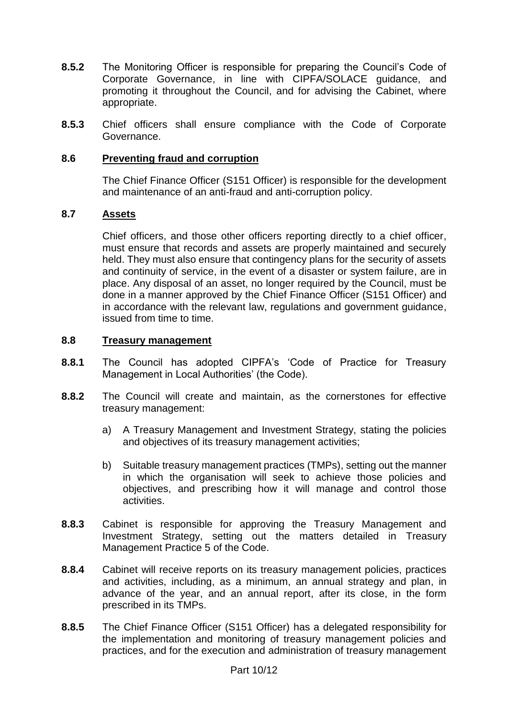- **8.5.2** The Monitoring Officer is responsible for preparing the Council's Code of Corporate Governance, in line with CIPFA/SOLACE guidance, and promoting it throughout the Council, and for advising the Cabinet, where appropriate.
- **8.5.3** Chief officers shall ensure compliance with the Code of Corporate Governance.

#### **8.6 Preventing fraud and corruption**

The Chief Finance Officer (S151 Officer) is responsible for the development and maintenance of an anti-fraud and anti-corruption policy.

#### **8.7 Assets**

Chief officers, and those other officers reporting directly to a chief officer, must ensure that records and assets are properly maintained and securely held. They must also ensure that contingency plans for the security of assets and continuity of service, in the event of a disaster or system failure, are in place. Any disposal of an asset, no longer required by the Council, must be done in a manner approved by the Chief Finance Officer (S151 Officer) and in accordance with the relevant law, regulations and government guidance, issued from time to time.

#### **8.8 Treasury management**

- **8.8.1** The Council has adopted CIPFA's 'Code of Practice for Treasury Management in Local Authorities' (the Code).
- **8.8.2** The Council will create and maintain, as the cornerstones for effective treasury management:
	- a) A Treasury Management and Investment Strategy, stating the policies and objectives of its treasury management activities;
	- b) Suitable treasury management practices (TMPs), setting out the manner in which the organisation will seek to achieve those policies and objectives, and prescribing how it will manage and control those activities.
- **8.8.3** Cabinet is responsible for approving the Treasury Management and Investment Strategy, setting out the matters detailed in Treasury Management Practice 5 of the Code.
- **8.8.4** Cabinet will receive reports on its treasury management policies, practices and activities, including, as a minimum, an annual strategy and plan, in advance of the year, and an annual report, after its close, in the form prescribed in its TMPs.
- **8.8.5** The Chief Finance Officer (S151 Officer) has a delegated responsibility for the implementation and monitoring of treasury management policies and practices, and for the execution and administration of treasury management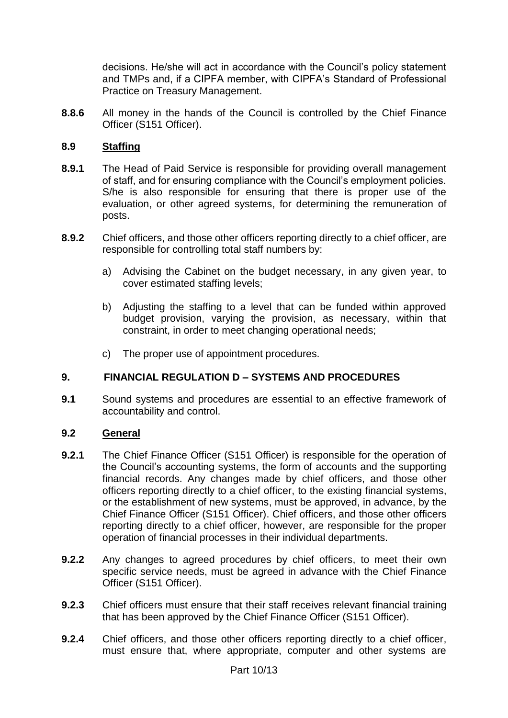decisions. He/she will act in accordance with the Council's policy statement and TMPs and, if a CIPFA member, with CIPFA's Standard of Professional Practice on Treasury Management.

**8.8.6** All money in the hands of the Council is controlled by the Chief Finance Officer (S151 Officer).

## **8.9 Staffing**

- **8.9.1** The Head of Paid Service is responsible for providing overall management of staff, and for ensuring compliance with the Council's employment policies. S/he is also responsible for ensuring that there is proper use of the evaluation, or other agreed systems, for determining the remuneration of posts.
- **8.9.2** Chief officers, and those other officers reporting directly to a chief officer, are responsible for controlling total staff numbers by:
	- a) Advising the Cabinet on the budget necessary, in any given year, to cover estimated staffing levels;
	- b) Adjusting the staffing to a level that can be funded within approved budget provision, varying the provision, as necessary, within that constraint, in order to meet changing operational needs;
	- c) The proper use of appointment procedures.

## **9. FINANCIAL REGULATION D – SYSTEMS AND PROCEDURES**

**9.1** Sound systems and procedures are essential to an effective framework of accountability and control.

#### **9.2 General**

- **9.2.1** The Chief Finance Officer (S151 Officer) is responsible for the operation of the Council's accounting systems, the form of accounts and the supporting financial records. Any changes made by chief officers, and those other officers reporting directly to a chief officer, to the existing financial systems, or the establishment of new systems, must be approved, in advance, by the Chief Finance Officer (S151 Officer). Chief officers, and those other officers reporting directly to a chief officer, however, are responsible for the proper operation of financial processes in their individual departments.
- **9.2.2** Any changes to agreed procedures by chief officers, to meet their own specific service needs, must be agreed in advance with the Chief Finance Officer (S151 Officer).
- **9.2.3** Chief officers must ensure that their staff receives relevant financial training that has been approved by the Chief Finance Officer (S151 Officer).
- **9.2.4** Chief officers, and those other officers reporting directly to a chief officer, must ensure that, where appropriate, computer and other systems are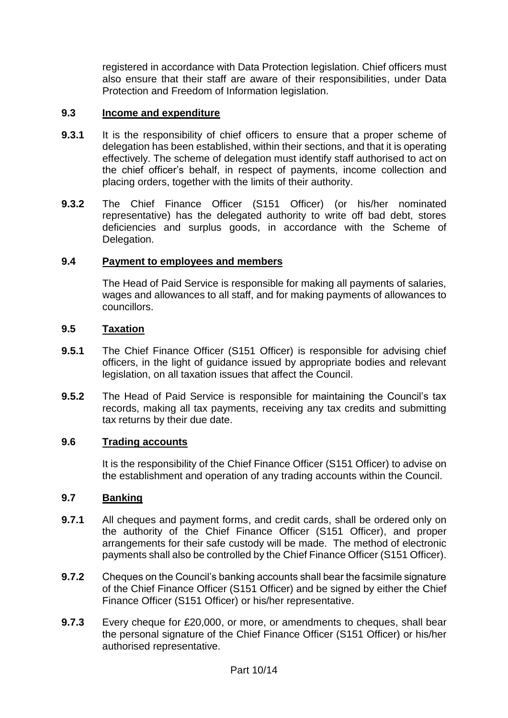registered in accordance with Data Protection legislation. Chief officers must also ensure that their staff are aware of their responsibilities, under Data Protection and Freedom of Information legislation.

## **9.3 Income and expenditure**

- **9.3.1** It is the responsibility of chief officers to ensure that a proper scheme of delegation has been established, within their sections, and that it is operating effectively. The scheme of delegation must identify staff authorised to act on the chief officer's behalf, in respect of payments, income collection and placing orders, together with the limits of their authority.
- **9.3.2** The Chief Finance Officer (S151 Officer) (or his/her nominated representative) has the delegated authority to write off bad debt, stores deficiencies and surplus goods, in accordance with the Scheme of Delegation.

#### **9.4 Payment to employees and members**

The Head of Paid Service is responsible for making all payments of salaries, wages and allowances to all staff, and for making payments of allowances to councillors.

#### **9.5 Taxation**

- **9.5.1** The Chief Finance Officer (S151 Officer) is responsible for advising chief officers, in the light of guidance issued by appropriate bodies and relevant legislation, on all taxation issues that affect the Council.
- **9.5.2** The Head of Paid Service is responsible for maintaining the Council's tax records, making all tax payments, receiving any tax credits and submitting tax returns by their due date.

#### **9.6 Trading accounts**

It is the responsibility of the Chief Finance Officer (S151 Officer) to advise on the establishment and operation of any trading accounts within the Council.

## **9.7 Banking**

- **9.7.1** All cheques and payment forms, and credit cards, shall be ordered only on the authority of the Chief Finance Officer (S151 Officer), and proper arrangements for their safe custody will be made. The method of electronic payments shall also be controlled by the Chief Finance Officer (S151 Officer).
- **9.7.2** Cheques on the Council's banking accounts shall bear the facsimile signature of the Chief Finance Officer (S151 Officer) and be signed by either the Chief Finance Officer (S151 Officer) or his/her representative.
- **9.7.3** Every cheque for £20,000, or more, or amendments to cheques, shall bear the personal signature of the Chief Finance Officer (S151 Officer) or his/her authorised representative.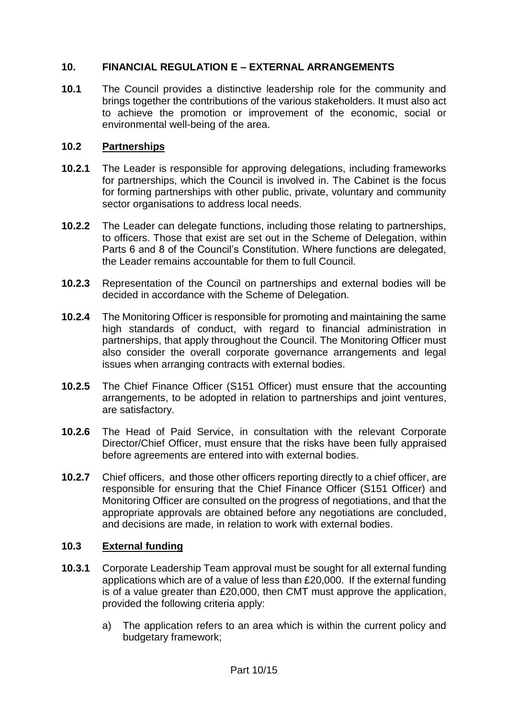## **10. FINANCIAL REGULATION E – EXTERNAL ARRANGEMENTS**

**10.1** The Council provides a distinctive leadership role for the community and brings together the contributions of the various stakeholders. It must also act to achieve the promotion or improvement of the economic, social or environmental well-being of the area.

## **10.2 Partnerships**

- **10.2.1** The Leader is responsible for approving delegations, including frameworks for partnerships, which the Council is involved in. The Cabinet is the focus for forming partnerships with other public, private, voluntary and community sector organisations to address local needs.
- **10.2.2** The Leader can delegate functions, including those relating to partnerships, to officers. Those that exist are set out in the Scheme of Delegation, within Parts 6 and 8 of the Council's Constitution. Where functions are delegated, the Leader remains accountable for them to full Council.
- **10.2.3** Representation of the Council on partnerships and external bodies will be decided in accordance with the Scheme of Delegation.
- **10.2.4** The Monitoring Officer is responsible for promoting and maintaining the same high standards of conduct, with regard to financial administration in partnerships, that apply throughout the Council. The Monitoring Officer must also consider the overall corporate governance arrangements and legal issues when arranging contracts with external bodies.
- **10.2.5** The Chief Finance Officer (S151 Officer) must ensure that the accounting arrangements, to be adopted in relation to partnerships and joint ventures, are satisfactory.
- **10.2.6** The Head of Paid Service, in consultation with the relevant Corporate Director/Chief Officer, must ensure that the risks have been fully appraised before agreements are entered into with external bodies.
- **10.2.7** Chief officers, and those other officers reporting directly to a chief officer, are responsible for ensuring that the Chief Finance Officer (S151 Officer) and Monitoring Officer are consulted on the progress of negotiations, and that the appropriate approvals are obtained before any negotiations are concluded, and decisions are made, in relation to work with external bodies.

#### **10.3 External funding**

- **10.3.1** Corporate Leadership Team approval must be sought for all external funding applications which are of a value of less than £20,000. If the external funding is of a value greater than £20,000, then CMT must approve the application, provided the following criteria apply:
	- a) The application refers to an area which is within the current policy and budgetary framework;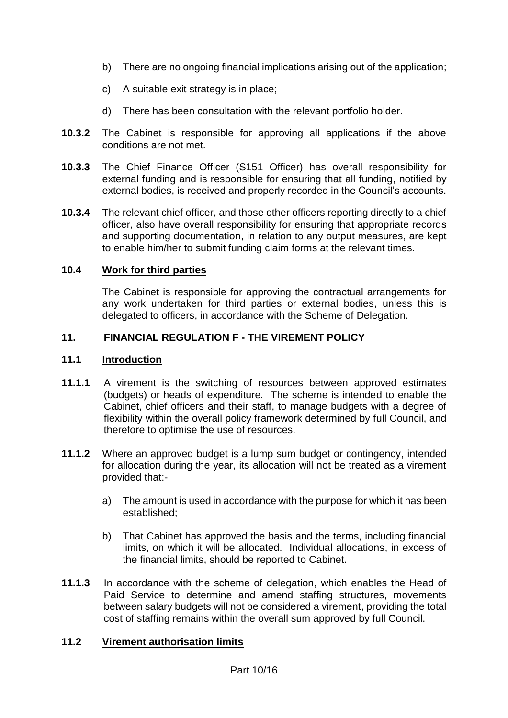- b) There are no ongoing financial implications arising out of the application;
- c) A suitable exit strategy is in place;
- d) There has been consultation with the relevant portfolio holder.
- **10.3.2** The Cabinet is responsible for approving all applications if the above conditions are not met.
- **10.3.3** The Chief Finance Officer (S151 Officer) has overall responsibility for external funding and is responsible for ensuring that all funding, notified by external bodies, is received and properly recorded in the Council's accounts.
- **10.3.4** The relevant chief officer, and those other officers reporting directly to a chief officer, also have overall responsibility for ensuring that appropriate records and supporting documentation, in relation to any output measures, are kept to enable him/her to submit funding claim forms at the relevant times.

#### **10.4 Work for third parties**

The Cabinet is responsible for approving the contractual arrangements for any work undertaken for third parties or external bodies, unless this is delegated to officers, in accordance with the Scheme of Delegation.

## **11. FINANCIAL REGULATION F - THE VIREMENT POLICY**

#### **11.1 Introduction**

- **11.1.1** A virement is the switching of resources between approved estimates (budgets) or heads of expenditure. The scheme is intended to enable the Cabinet, chief officers and their staff, to manage budgets with a degree of flexibility within the overall policy framework determined by full Council, and therefore to optimise the use of resources.
- **11.1.2** Where an approved budget is a lump sum budget or contingency, intended for allocation during the year, its allocation will not be treated as a virement provided that:
	- a) The amount is used in accordance with the purpose for which it has been established;
	- b) That Cabinet has approved the basis and the terms, including financial limits, on which it will be allocated. Individual allocations, in excess of the financial limits, should be reported to Cabinet.
- **11.1.3** In accordance with the scheme of delegation, which enables the Head of Paid Service to determine and amend staffing structures, movements between salary budgets will not be considered a virement, providing the total cost of staffing remains within the overall sum approved by full Council.

## **11.2 Virement authorisation limits**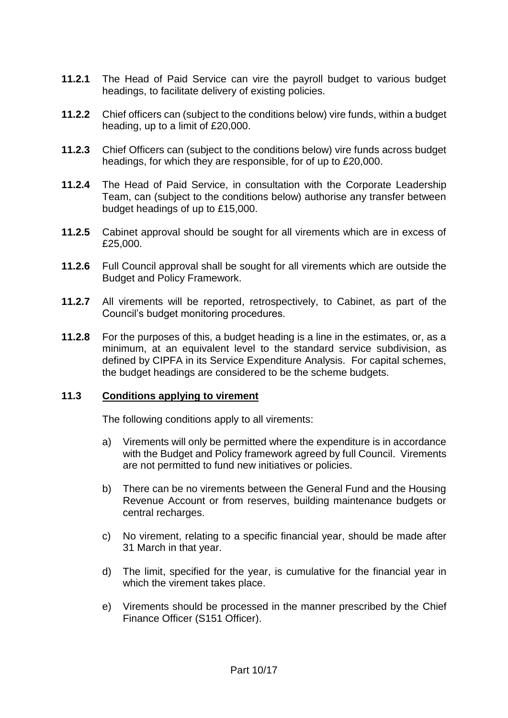- **11.2.1** The Head of Paid Service can vire the payroll budget to various budget headings, to facilitate delivery of existing policies.
- **11.2.2** Chief officers can (subject to the conditions below) vire funds, within a budget heading, up to a limit of £20,000.
- **11.2.3** Chief Officers can (subject to the conditions below) vire funds across budget headings, for which they are responsible, for of up to £20,000.
- **11.2.4** The Head of Paid Service, in consultation with the Corporate Leadership Team, can (subject to the conditions below) authorise any transfer between budget headings of up to £15,000.
- **11.2.5** Cabinet approval should be sought for all virements which are in excess of £25,000.
- **11.2.6** Full Council approval shall be sought for all virements which are outside the Budget and Policy Framework.
- **11.2.7** All virements will be reported, retrospectively, to Cabinet, as part of the Council's budget monitoring procedures.
- **11.2.8** For the purposes of this, a budget heading is a line in the estimates, or, as a minimum, at an equivalent level to the standard service subdivision, as defined by CIPFA in its Service Expenditure Analysis. For capital schemes, the budget headings are considered to be the scheme budgets.

#### **11.3 Conditions applying to virement**

The following conditions apply to all virements:

- a) Virements will only be permitted where the expenditure is in accordance with the Budget and Policy framework agreed by full Council. Virements are not permitted to fund new initiatives or policies.
- b) There can be no virements between the General Fund and the Housing Revenue Account or from reserves, building maintenance budgets or central recharges.
- c) No virement, relating to a specific financial year, should be made after 31 March in that year.
- d) The limit, specified for the year, is cumulative for the financial year in which the virement takes place.
- e) Virements should be processed in the manner prescribed by the Chief Finance Officer (S151 Officer).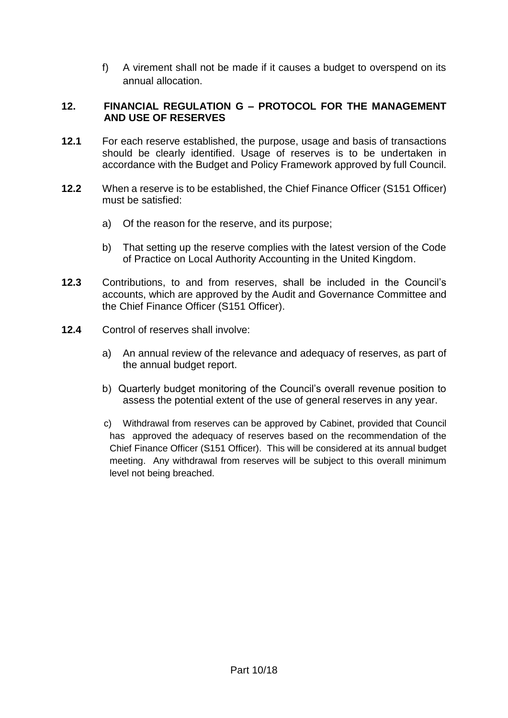f) A virement shall not be made if it causes a budget to overspend on its annual allocation.

## **12. FINANCIAL REGULATION G – PROTOCOL FOR THE MANAGEMENT AND USE OF RESERVES**

- **12.1** For each reserve established, the purpose, usage and basis of transactions should be clearly identified. Usage of reserves is to be undertaken in accordance with the Budget and Policy Framework approved by full Council.
- **12.2** When a reserve is to be established, the Chief Finance Officer (S151 Officer) must be satisfied:
	- a) Of the reason for the reserve, and its purpose;
	- b) That setting up the reserve complies with the latest version of the Code of Practice on Local Authority Accounting in the United Kingdom.
- **12.3** Contributions, to and from reserves, shall be included in the Council's accounts, which are approved by the Audit and Governance Committee and the Chief Finance Officer (S151 Officer).
- **12.4** Control of reserves shall involve:
	- a) An annual review of the relevance and adequacy of reserves, as part of the annual budget report.
	- b) Quarterly budget monitoring of the Council's overall revenue position to assess the potential extent of the use of general reserves in any year.
	- c) Withdrawal from reserves can be approved by Cabinet, provided that Council has approved the adequacy of reserves based on the recommendation of the Chief Finance Officer (S151 Officer). This will be considered at its annual budget meeting. Any withdrawal from reserves will be subject to this overall minimum level not being breached.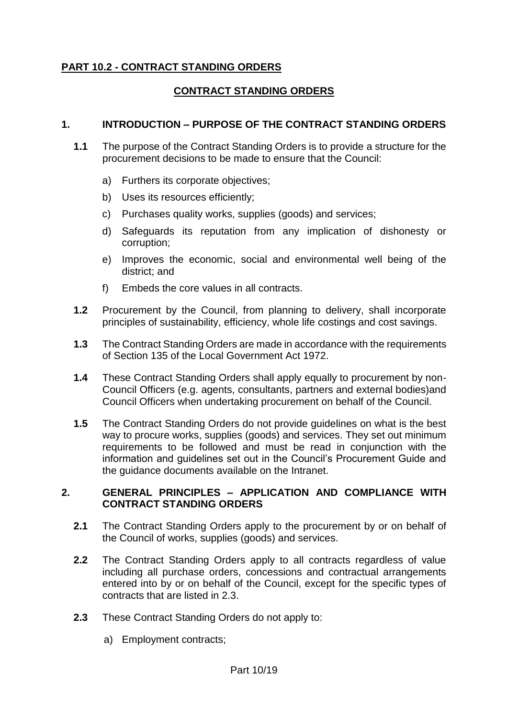## **PART 10.2 - CONTRACT STANDING ORDERS**

## **CONTRACT STANDING ORDERS**

#### **1. INTRODUCTION – PURPOSE OF THE CONTRACT STANDING ORDERS**

- **1.1** The purpose of the Contract Standing Orders is to provide a structure for the procurement decisions to be made to ensure that the Council:
	- a) Furthers its corporate objectives;
	- b) Uses its resources efficiently;
	- c) Purchases quality works, supplies (goods) and services;
	- d) Safeguards its reputation from any implication of dishonesty or corruption;
	- e) Improves the economic, social and environmental well being of the district; and
	- f) Embeds the core values in all contracts.
- **1.2** Procurement by the Council, from planning to delivery, shall incorporate principles of sustainability, efficiency, whole life costings and cost savings.
- **1.3** The Contract Standing Orders are made in accordance with the requirements of Section 135 of the Local Government Act 1972.
- **1.4** These Contract Standing Orders shall apply equally to procurement by non-Council Officers (e.g. agents, consultants, partners and external bodies)and Council Officers when undertaking procurement on behalf of the Council.
- **1.5** The Contract Standing Orders do not provide guidelines on what is the best way to procure works, supplies (goods) and services. They set out minimum requirements to be followed and must be read in conjunction with the information and guidelines set out in the Council's Procurement Guide and the guidance documents available on the Intranet.

#### **2. GENERAL PRINCIPLES – APPLICATION AND COMPLIANCE WITH CONTRACT STANDING ORDERS**

- **2.1** The Contract Standing Orders apply to the procurement by or on behalf of the Council of works, supplies (goods) and services.
- **2.2** The Contract Standing Orders apply to all contracts regardless of value including all purchase orders, concessions and contractual arrangements entered into by or on behalf of the Council, except for the specific types of contracts that are listed in 2.3.
- **2.3** These Contract Standing Orders do not apply to:
	- a) Employment contracts;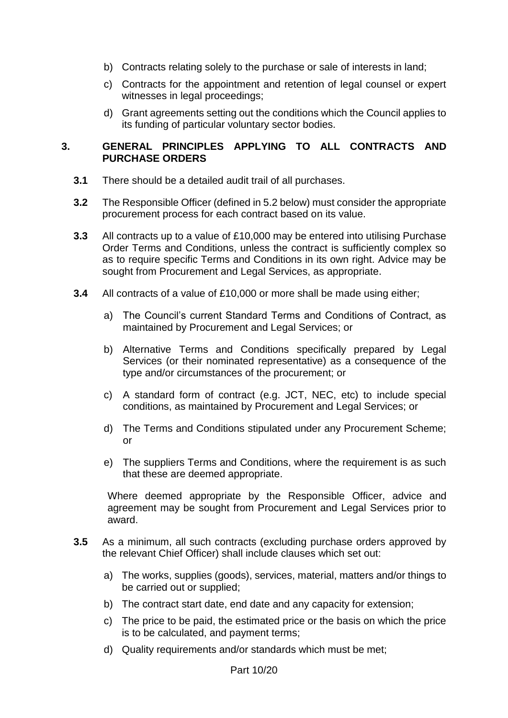- b) Contracts relating solely to the purchase or sale of interests in land;
- c) Contracts for the appointment and retention of legal counsel or expert witnesses in legal proceedings;
- d) Grant agreements setting out the conditions which the Council applies to its funding of particular voluntary sector bodies.

#### **3. GENERAL PRINCIPLES APPLYING TO ALL CONTRACTS AND PURCHASE ORDERS**

- **3.1** There should be a detailed audit trail of all purchases.
- **3.2** The Responsible Officer (defined in 5.2 below) must consider the appropriate procurement process for each contract based on its value.
- **3.3** All contracts up to a value of £10,000 may be entered into utilising Purchase Order Terms and Conditions, unless the contract is sufficiently complex so as to require specific Terms and Conditions in its own right. Advice may be sought from Procurement and Legal Services, as appropriate.
- **3.4** All contracts of a value of £10,000 or more shall be made using either;
	- a) The Council's current Standard Terms and Conditions of Contract, as maintained by Procurement and Legal Services; or
	- b) Alternative Terms and Conditions specifically prepared by Legal Services (or their nominated representative) as a consequence of the type and/or circumstances of the procurement; or
	- c) A standard form of contract (e.g. JCT, NEC, etc) to include special conditions, as maintained by Procurement and Legal Services; or
	- d) The Terms and Conditions stipulated under any Procurement Scheme; or
	- e) The suppliers Terms and Conditions, where the requirement is as such that these are deemed appropriate.

Where deemed appropriate by the Responsible Officer, advice and agreement may be sought from Procurement and Legal Services prior to award.

- **3.5** As a minimum, all such contracts (excluding purchase orders approved by the relevant Chief Officer) shall include clauses which set out:
	- a) The works, supplies (goods), services, material, matters and/or things to be carried out or supplied;
	- b) The contract start date, end date and any capacity for extension;
	- c) The price to be paid, the estimated price or the basis on which the price is to be calculated, and payment terms;
	- d) Quality requirements and/or standards which must be met;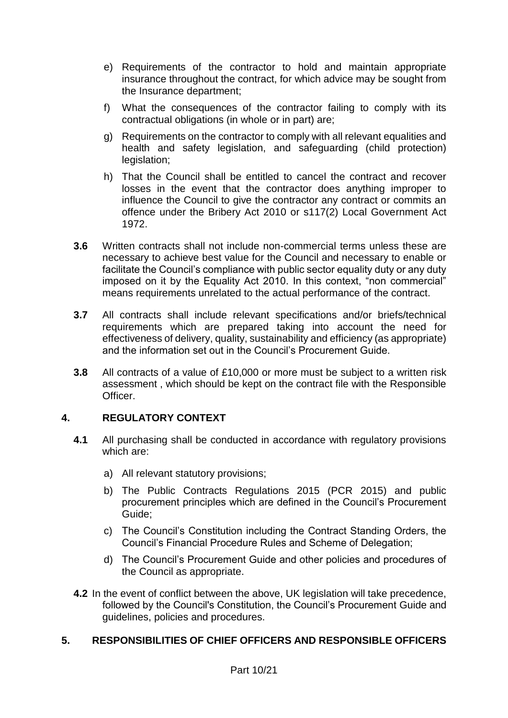- e) Requirements of the contractor to hold and maintain appropriate insurance throughout the contract, for which advice may be sought from the Insurance department;
- f) What the consequences of the contractor failing to comply with its contractual obligations (in whole or in part) are;
- g) Requirements on the contractor to comply with all relevant equalities and health and safety legislation, and safeguarding (child protection) legislation;
- h) That the Council shall be entitled to cancel the contract and recover losses in the event that the contractor does anything improper to influence the Council to give the contractor any contract or commits an offence under the Bribery Act 2010 or s117(2) Local Government Act 1972.
- **3.6** Written contracts shall not include non-commercial terms unless these are necessary to achieve best value for the Council and necessary to enable or facilitate the Council's compliance with public sector equality duty or any duty imposed on it by the Equality Act 2010. In this context, "non commercial" means requirements unrelated to the actual performance of the contract.
- **3.7** All contracts shall include relevant specifications and/or briefs/technical requirements which are prepared taking into account the need for effectiveness of delivery, quality, sustainability and efficiency (as appropriate) and the information set out in the Council's Procurement Guide.
- **3.8** All contracts of a value of £10,000 or more must be subject to a written risk assessment , which should be kept on the contract file with the Responsible Officer.

## **4. REGULATORY CONTEXT**

- **4.1** All purchasing shall be conducted in accordance with regulatory provisions which are:
	- a) All relevant statutory provisions;
	- b) The Public Contracts Regulations 2015 (PCR 2015) and public procurement principles which are defined in the Council's Procurement Guide;
	- c) The Council's Constitution including the Contract Standing Orders, the Council's Financial Procedure Rules and Scheme of Delegation;
	- d) The Council's Procurement Guide and other policies and procedures of the Council as appropriate.
- **4.2** In the event of conflict between the above, UK legislation will take precedence, followed by the Council's Constitution, the Council's Procurement Guide and guidelines, policies and procedures.

## **5. RESPONSIBILITIES OF CHIEF OFFICERS AND RESPONSIBLE OFFICERS**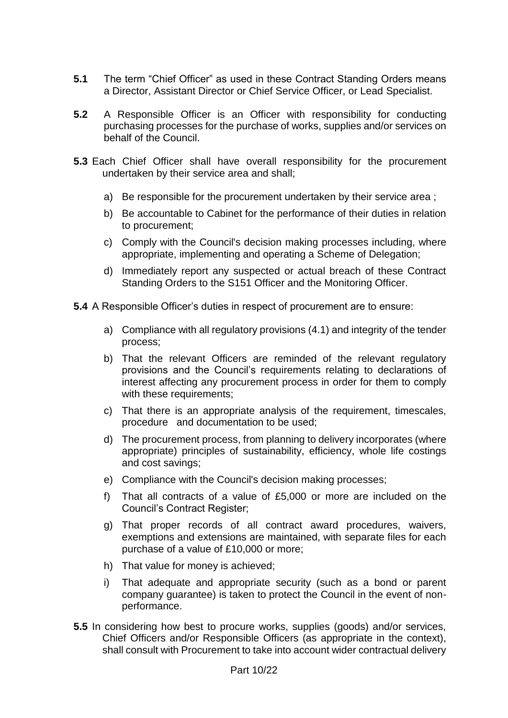- **5.1** The term "Chief Officer" as used in these Contract Standing Orders means a Director, Assistant Director or Chief Service Officer, or Lead Specialist.
- **5.2** A Responsible Officer is an Officer with responsibility for conducting purchasing processes for the purchase of works, supplies and/or services on behalf of the Council.
- **5.3** Each Chief Officer shall have overall responsibility for the procurement undertaken by their service area and shall;
	- a) Be responsible for the procurement undertaken by their service area ;
	- b) Be accountable to Cabinet for the performance of their duties in relation to procurement;
	- c) Comply with the Council's decision making processes including, where appropriate, implementing and operating a Scheme of Delegation;
	- d) Immediately report any suspected or actual breach of these Contract Standing Orders to the S151 Officer and the Monitoring Officer.
- **5.4** A Responsible Officer's duties in respect of procurement are to ensure:
	- a) Compliance with all regulatory provisions (4.1) and integrity of the tender process;
	- b) That the relevant Officers are reminded of the relevant regulatory provisions and the Council's requirements relating to declarations of interest affecting any procurement process in order for them to comply with these requirements;
	- c) That there is an appropriate analysis of the requirement, timescales, procedure and documentation to be used;
	- d) The procurement process, from planning to delivery incorporates (where appropriate) principles of sustainability, efficiency, whole life costings and cost savings;
	- e) Compliance with the Council's decision making processes;
	- f) That all contracts of a value of £5,000 or more are included on the Council's Contract Register;
	- g) That proper records of all contract award procedures, waivers, exemptions and extensions are maintained, with separate files for each purchase of a value of £10,000 or more;
	- h) That value for money is achieved;
	- i) That adequate and appropriate security (such as a bond or parent company guarantee) is taken to protect the Council in the event of nonperformance.
- **5.5** In considering how best to procure works, supplies (goods) and/or services, Chief Officers and/or Responsible Officers (as appropriate in the context), shall consult with Procurement to take into account wider contractual delivery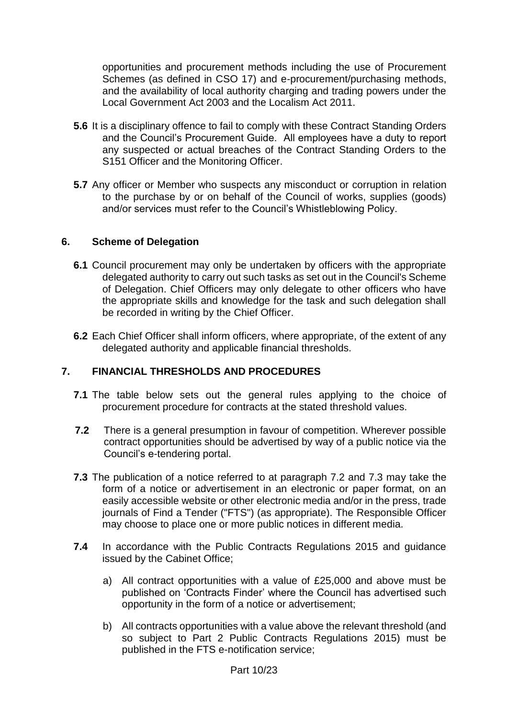opportunities and procurement methods including the use of Procurement Schemes (as defined in CSO 17) and e-procurement/purchasing methods, and the availability of local authority charging and trading powers under the Local Government Act 2003 and the Localism Act 2011.

- **5.6** It is a disciplinary offence to fail to comply with these Contract Standing Orders and the Council's Procurement Guide. All employees have a duty to report any suspected or actual breaches of the Contract Standing Orders to the S151 Officer and the Monitoring Officer.
- **5.7** Any officer or Member who suspects any misconduct or corruption in relation to the purchase by or on behalf of the Council of works, supplies (goods) and/or services must refer to the Council's Whistleblowing Policy.

#### **6. Scheme of Delegation**

- **6.1** Council procurement may only be undertaken by officers with the appropriate delegated authority to carry out such tasks as set out in the Council's Scheme of Delegation. Chief Officers may only delegate to other officers who have the appropriate skills and knowledge for the task and such delegation shall be recorded in writing by the Chief Officer.
- **6.2** Each Chief Officer shall inform officers, where appropriate, of the extent of any delegated authority and applicable financial thresholds.

## **7. FINANCIAL THRESHOLDS AND PROCEDURES**

- **7.1** The table below sets out the general rules applying to the choice of procurement procedure for contracts at the stated threshold values.
- **7.2** There is a general presumption in favour of competition. Wherever possible contract opportunities should be advertised by way of a public notice via the Council's e-tendering portal.
- **7.3** The publication of a notice referred to at paragraph 7.2 and 7.3 may take the form of a notice or advertisement in an electronic or paper format, on an easily accessible website or other electronic media and/or in the press, trade journals of Find a Tender ("FTS") (as appropriate). The Responsible Officer may choose to place one or more public notices in different media.
- **7.4** In accordance with the Public Contracts Regulations 2015 and guidance issued by the Cabinet Office;
	- a) All contract opportunities with a value of £25,000 and above must be published on 'Contracts Finder' where the Council has advertised such opportunity in the form of a notice or advertisement;
	- b) All contracts opportunities with a value above the relevant threshold (and so subject to Part 2 Public Contracts Regulations 2015) must be published in the FTS e-notification service;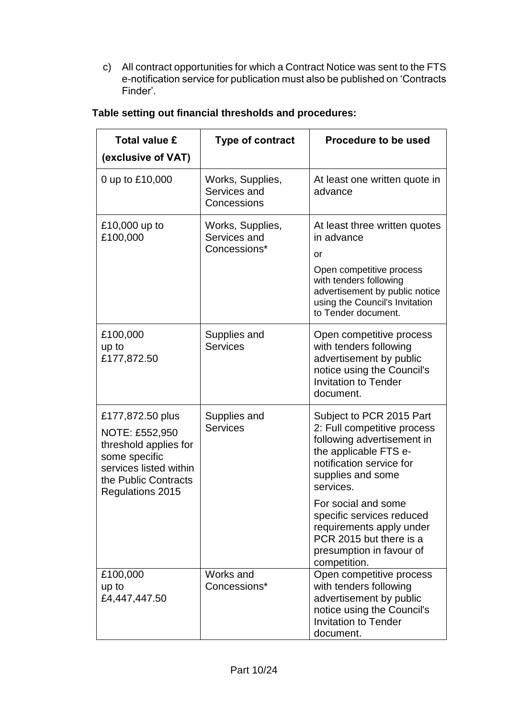c) All contract opportunities for which a Contract Notice was sent to the FTS e-notification service for publication must also be published on 'Contracts Finder'.

| <b>Total value £</b><br>(exclusive of VAT)                                                                                                         | <b>Type of contract</b>                          | <b>Procedure to be used</b>                                                                                                                                                                        |
|----------------------------------------------------------------------------------------------------------------------------------------------------|--------------------------------------------------|----------------------------------------------------------------------------------------------------------------------------------------------------------------------------------------------------|
| 0 up to £10,000                                                                                                                                    | Works, Supplies,<br>Services and<br>Concessions  | At least one written quote in<br>advance                                                                                                                                                           |
| £10,000 up to<br>£100,000                                                                                                                          | Works, Supplies,<br>Services and<br>Concessions* | At least three written quotes<br>in advance<br>or<br>Open competitive process<br>with tenders following<br>advertisement by public notice<br>using the Council's Invitation<br>to Tender document. |
| £100,000<br>up to<br>£177,872.50                                                                                                                   | Supplies and<br><b>Services</b>                  | Open competitive process<br>with tenders following<br>advertisement by public<br>notice using the Council's<br><b>Invitation to Tender</b><br>document.                                            |
| £177,872.50 plus<br>NOTE: £552,950<br>threshold applies for<br>some specific<br>services listed within<br>the Public Contracts<br>Regulations 2015 | Supplies and<br><b>Services</b>                  | Subject to PCR 2015 Part<br>2: Full competitive process<br>following advertisement in<br>the applicable FTS e-<br>notification service for<br>supplies and some<br>services.                       |
|                                                                                                                                                    |                                                  | For social and some<br>specific services reduced<br>requirements apply under<br>PCR 2015 but there is a<br>presumption in favour of<br>competition.                                                |
| £100,000<br>up to<br>£4,447,447.50                                                                                                                 | Works and<br>Concessions*                        | Open competitive process<br>with tenders following<br>advertisement by public<br>notice using the Council's<br><b>Invitation to Tender</b><br>document.                                            |

## **Table setting out financial thresholds and procedures:**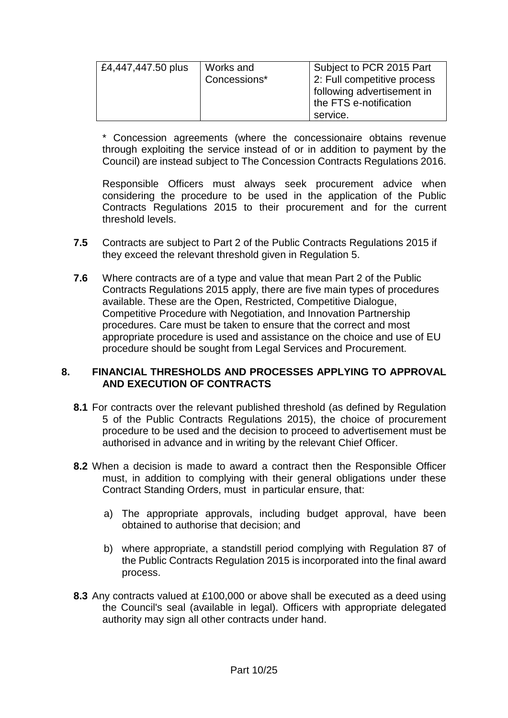| £4,447,447.50 plus | Works and<br>Concessions* | Subject to PCR 2015 Part<br>2: Full competitive process<br>following advertisement in<br>the FTS e-notification |
|--------------------|---------------------------|-----------------------------------------------------------------------------------------------------------------|
|                    |                           | service.                                                                                                        |

\* Concession agreements (where the concessionaire obtains revenue through exploiting the service instead of or in addition to payment by the Council) are instead subject to The Concession Contracts Regulations 2016.

Responsible Officers must always seek procurement advice when considering the procedure to be used in the application of the Public Contracts Regulations 2015 to their procurement and for the current threshold levels.

- **7.5** Contracts are subject to Part 2 of the Public Contracts Regulations 2015 if they exceed the relevant threshold given in Regulation 5.
- **7.6** Where contracts are of a type and value that mean Part 2 of the Public Contracts Regulations 2015 apply, there are five main types of procedures available. These are the Open, Restricted, Competitive Dialogue, Competitive Procedure with Negotiation, and Innovation Partnership procedures. Care must be taken to ensure that the correct and most appropriate procedure is used and assistance on the choice and use of EU procedure should be sought from Legal Services and Procurement.

#### **8. FINANCIAL THRESHOLDS AND PROCESSES APPLYING TO APPROVAL AND EXECUTION OF CONTRACTS**

- **8.1** For contracts over the relevant published threshold (as defined by Regulation 5 of the Public Contracts Regulations 2015), the choice of procurement procedure to be used and the decision to proceed to advertisement must be authorised in advance and in writing by the relevant Chief Officer.
- **8.2** When a decision is made to award a contract then the Responsible Officer must, in addition to complying with their general obligations under these Contract Standing Orders, must in particular ensure, that:
	- a) The appropriate approvals, including budget approval, have been obtained to authorise that decision; and
	- b) where appropriate, a standstill period complying with Regulation 87 of the Public Contracts Regulation 2015 is incorporated into the final award process.
- **8.3** Any contracts valued at £100,000 or above shall be executed as a deed using the Council's seal (available in legal). Officers with appropriate delegated authority may sign all other contracts under hand.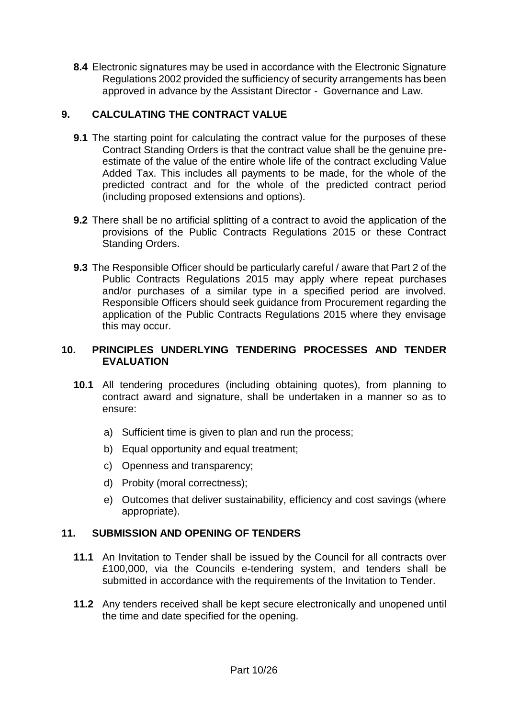**8.4** Electronic signatures may be used in accordance with the Electronic Signature Regulations 2002 provided the sufficiency of security arrangements has been approved in advance by the Assistant Director - Governance and Law.

## **9. CALCULATING THE CONTRACT VALUE**

- **9.1** The starting point for calculating the contract value for the purposes of these Contract Standing Orders is that the contract value shall be the genuine preestimate of the value of the entire whole life of the contract excluding Value Added Tax. This includes all payments to be made, for the whole of the predicted contract and for the whole of the predicted contract period (including proposed extensions and options).
- **9.2** There shall be no artificial splitting of a contract to avoid the application of the provisions of the Public Contracts Regulations 2015 or these Contract Standing Orders.
- **9.3** The Responsible Officer should be particularly careful / aware that Part 2 of the Public Contracts Regulations 2015 may apply where repeat purchases and/or purchases of a similar type in a specified period are involved. Responsible Officers should seek guidance from Procurement regarding the application of the Public Contracts Regulations 2015 where they envisage this may occur.

## **10. PRINCIPLES UNDERLYING TENDERING PROCESSES AND TENDER EVALUATION**

- **10.1** All tendering procedures (including obtaining quotes), from planning to contract award and signature, shall be undertaken in a manner so as to ensure:
	- a) Sufficient time is given to plan and run the process;
	- b) Equal opportunity and equal treatment;
	- c) Openness and transparency;
	- d) Probity (moral correctness);
	- e) Outcomes that deliver sustainability, efficiency and cost savings (where appropriate).

## **11. SUBMISSION AND OPENING OF TENDERS**

- **11.1** An Invitation to Tender shall be issued by the Council for all contracts over £100,000, via the Councils e-tendering system, and tenders shall be submitted in accordance with the requirements of the Invitation to Tender.
- **11.2** Any tenders received shall be kept secure electronically and unopened until the time and date specified for the opening.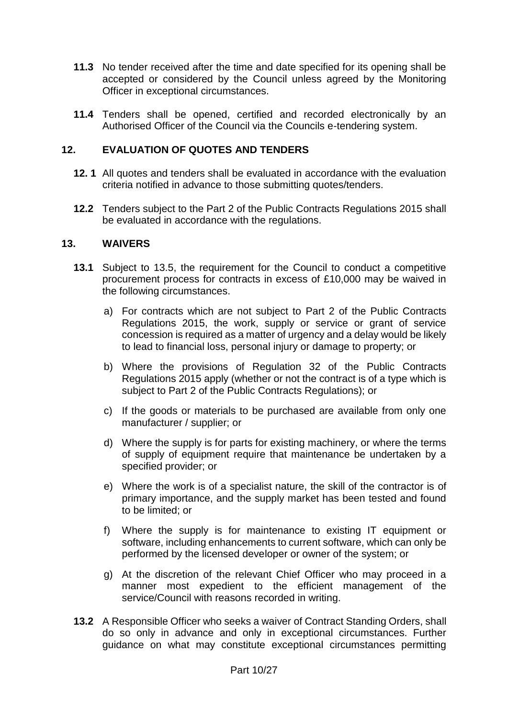- **11.3** No tender received after the time and date specified for its opening shall be accepted or considered by the Council unless agreed by the Monitoring Officer in exceptional circumstances.
- **11.4** Tenders shall be opened, certified and recorded electronically by an Authorised Officer of the Council via the Councils e-tendering system.

## **12. EVALUATION OF QUOTES AND TENDERS**

- **12. 1** All quotes and tenders shall be evaluated in accordance with the evaluation criteria notified in advance to those submitting quotes/tenders.
- **12.2** Tenders subject to the Part 2 of the Public Contracts Regulations 2015 shall be evaluated in accordance with the regulations.

#### **13. WAIVERS**

- **13.1** Subject to 13.5, the requirement for the Council to conduct a competitive procurement process for contracts in excess of £10,000 may be waived in the following circumstances.
	- a) For contracts which are not subject to Part 2 of the Public Contracts Regulations 2015, the work, supply or service or grant of service concession is required as a matter of urgency and a delay would be likely to lead to financial loss, personal injury or damage to property; or
	- b) Where the provisions of Regulation 32 of the Public Contracts Regulations 2015 apply (whether or not the contract is of a type which is subject to Part 2 of the Public Contracts Regulations); or
	- c) If the goods or materials to be purchased are available from only one manufacturer / supplier; or
	- d) Where the supply is for parts for existing machinery, or where the terms of supply of equipment require that maintenance be undertaken by a specified provider; or
	- e) Where the work is of a specialist nature, the skill of the contractor is of primary importance, and the supply market has been tested and found to be limited; or
	- f) Where the supply is for maintenance to existing IT equipment or software, including enhancements to current software, which can only be performed by the licensed developer or owner of the system; or
	- g) At the discretion of the relevant Chief Officer who may proceed in a manner most expedient to the efficient management of the service/Council with reasons recorded in writing.
- **13.2** A Responsible Officer who seeks a waiver of Contract Standing Orders, shall do so only in advance and only in exceptional circumstances. Further guidance on what may constitute exceptional circumstances permitting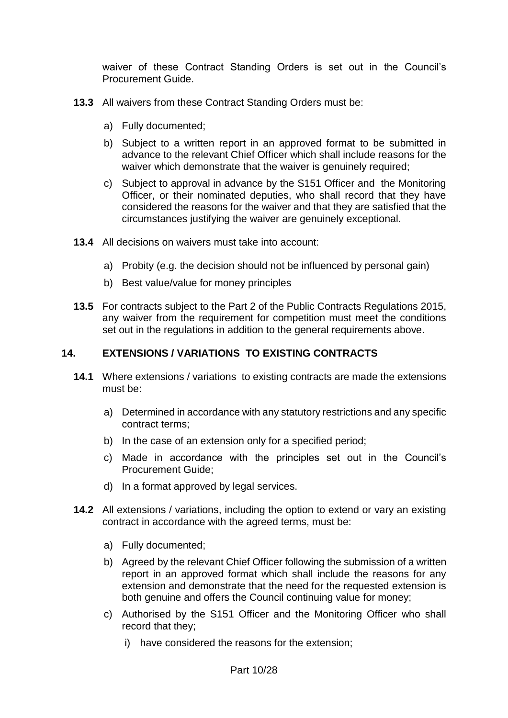waiver of these Contract Standing Orders is set out in the Council's Procurement Guide.

- **13.3** All waivers from these Contract Standing Orders must be:
	- a) Fully documented;
	- b) Subject to a written report in an approved format to be submitted in advance to the relevant Chief Officer which shall include reasons for the waiver which demonstrate that the waiver is genuinely required;
	- c) Subject to approval in advance by the S151 Officer and the Monitoring Officer, or their nominated deputies, who shall record that they have considered the reasons for the waiver and that they are satisfied that the circumstances justifying the waiver are genuinely exceptional.
- **13.4** All decisions on waivers must take into account:
	- a) Probity (e.g. the decision should not be influenced by personal gain)
	- b) Best value/value for money principles
- **13.5** For contracts subject to the Part 2 of the Public Contracts Regulations 2015, any waiver from the requirement for competition must meet the conditions set out in the regulations in addition to the general requirements above.

#### **14. EXTENSIONS / VARIATIONS TO EXISTING CONTRACTS**

- **14.1** Where extensions / variations to existing contracts are made the extensions must be:
	- a) Determined in accordance with any statutory restrictions and any specific contract terms;
	- b) In the case of an extension only for a specified period;
	- c) Made in accordance with the principles set out in the Council's Procurement Guide;
	- d) In a format approved by legal services.
- **14.2** All extensions / variations, including the option to extend or vary an existing contract in accordance with the agreed terms, must be:
	- a) Fully documented;
	- b) Agreed by the relevant Chief Officer following the submission of a written report in an approved format which shall include the reasons for any extension and demonstrate that the need for the requested extension is both genuine and offers the Council continuing value for money;
	- c) Authorised by the S151 Officer and the Monitoring Officer who shall record that they;
		- i) have considered the reasons for the extension;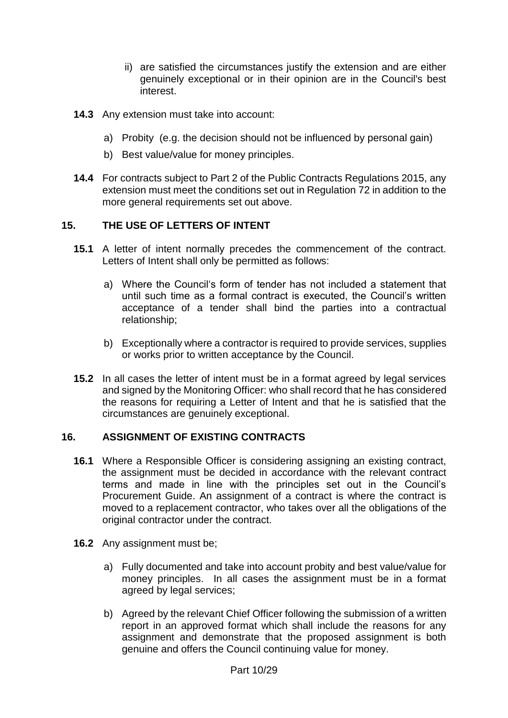- ii) are satisfied the circumstances justify the extension and are either genuinely exceptional or in their opinion are in the Council's best interest.
- **14.3** Any extension must take into account:
	- a) Probity (e.g. the decision should not be influenced by personal gain)
	- b) Best value/value for money principles.
- **14.4** For contracts subject to Part 2 of the Public Contracts Regulations 2015, any extension must meet the conditions set out in Regulation 72 in addition to the more general requirements set out above.

#### **15. THE USE OF LETTERS OF INTENT**

- **15.1** A letter of intent normally precedes the commencement of the contract. Letters of Intent shall only be permitted as follows:
	- a) Where the Council's form of tender has not included a statement that until such time as a formal contract is executed, the Council's written acceptance of a tender shall bind the parties into a contractual relationship;
	- b) Exceptionally where a contractor is required to provide services, supplies or works prior to written acceptance by the Council.
- **15.2** In all cases the letter of intent must be in a format agreed by legal services and signed by the Monitoring Officer: who shall record that he has considered the reasons for requiring a Letter of Intent and that he is satisfied that the circumstances are genuinely exceptional.

#### **16. ASSIGNMENT OF EXISTING CONTRACTS**

- **16.1** Where a Responsible Officer is considering assigning an existing contract, the assignment must be decided in accordance with the relevant contract terms and made in line with the principles set out in the Council's Procurement Guide. An assignment of a contract is where the contract is moved to a replacement contractor, who takes over all the obligations of the original contractor under the contract.
- **16.2** Any assignment must be;
	- a) Fully documented and take into account probity and best value/value for money principles. In all cases the assignment must be in a format agreed by legal services;
	- b) Agreed by the relevant Chief Officer following the submission of a written report in an approved format which shall include the reasons for any assignment and demonstrate that the proposed assignment is both genuine and offers the Council continuing value for money.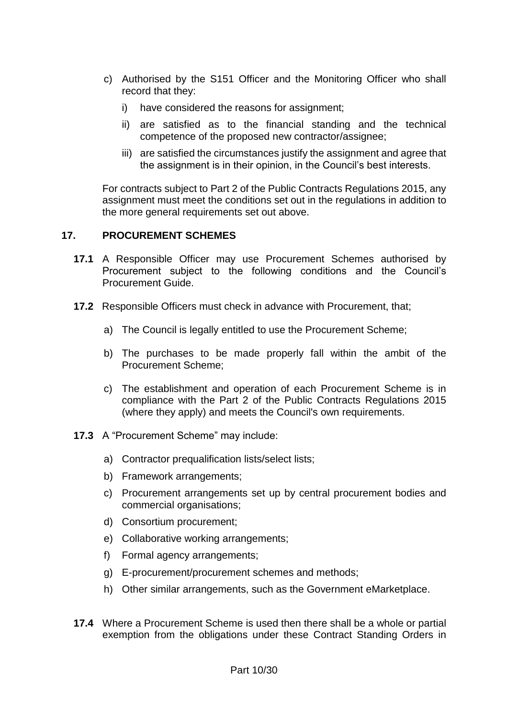- c) Authorised by the S151 Officer and the Monitoring Officer who shall record that they:
	- i) have considered the reasons for assignment;
	- ii) are satisfied as to the financial standing and the technical competence of the proposed new contractor/assignee;
	- iii) are satisfied the circumstances justify the assignment and agree that the assignment is in their opinion, in the Council's best interests.

For contracts subject to Part 2 of the Public Contracts Regulations 2015, any assignment must meet the conditions set out in the regulations in addition to the more general requirements set out above.

## **17. PROCUREMENT SCHEMES**

- **17.1** A Responsible Officer may use Procurement Schemes authorised by Procurement subject to the following conditions and the Council's Procurement Guide.
- **17.2** Responsible Officers must check in advance with Procurement, that;
	- a) The Council is legally entitled to use the Procurement Scheme;
	- b) The purchases to be made properly fall within the ambit of the Procurement Scheme;
	- c) The establishment and operation of each Procurement Scheme is in compliance with the Part 2 of the Public Contracts Regulations 2015 (where they apply) and meets the Council's own requirements.
- **17.3** A "Procurement Scheme" may include:
	- a) Contractor prequalification lists/select lists;
	- b) Framework arrangements;
	- c) Procurement arrangements set up by central procurement bodies and commercial organisations;
	- d) Consortium procurement;
	- e) Collaborative working arrangements;
	- f) Formal agency arrangements;
	- g) E-procurement/procurement schemes and methods;
	- h) Other similar arrangements, such as the Government eMarketplace.
- **17.4** Where a Procurement Scheme is used then there shall be a whole or partial exemption from the obligations under these Contract Standing Orders in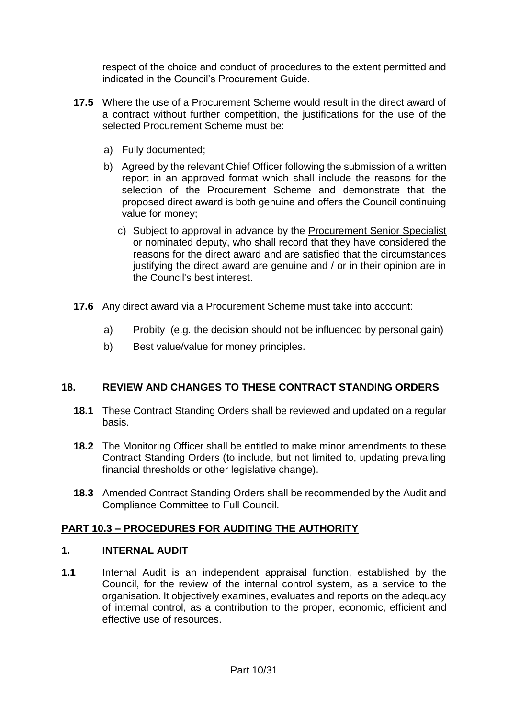respect of the choice and conduct of procedures to the extent permitted and indicated in the Council's Procurement Guide.

- **17.5** Where the use of a Procurement Scheme would result in the direct award of a contract without further competition, the justifications for the use of the selected Procurement Scheme must be:
	- a) Fully documented;
	- b) Agreed by the relevant Chief Officer following the submission of a written report in an approved format which shall include the reasons for the selection of the Procurement Scheme and demonstrate that the proposed direct award is both genuine and offers the Council continuing value for money;
		- c) Subject to approval in advance by the Procurement Senior Specialist or nominated deputy, who shall record that they have considered the reasons for the direct award and are satisfied that the circumstances justifying the direct award are genuine and / or in their opinion are in the Council's best interest.
- **17.6** Any direct award via a Procurement Scheme must take into account:
	- a) Probity (e.g. the decision should not be influenced by personal gain)
	- b) Best value/value for money principles.

## **18. REVIEW AND CHANGES TO THESE CONTRACT STANDING ORDERS**

- **18.1** These Contract Standing Orders shall be reviewed and updated on a regular basis.
- **18.2** The Monitoring Officer shall be entitled to make minor amendments to these Contract Standing Orders (to include, but not limited to, updating prevailing financial thresholds or other legislative change).
- **18.3** Amended Contract Standing Orders shall be recommended by the Audit and Compliance Committee to Full Council.

## **PART 10.3 – PROCEDURES FOR AUDITING THE AUTHORITY**

#### **1. INTERNAL AUDIT**

**1.1** Internal Audit is an independent appraisal function, established by the Council, for the review of the internal control system, as a service to the organisation. It objectively examines, evaluates and reports on the adequacy of internal control, as a contribution to the proper, economic, efficient and effective use of resources.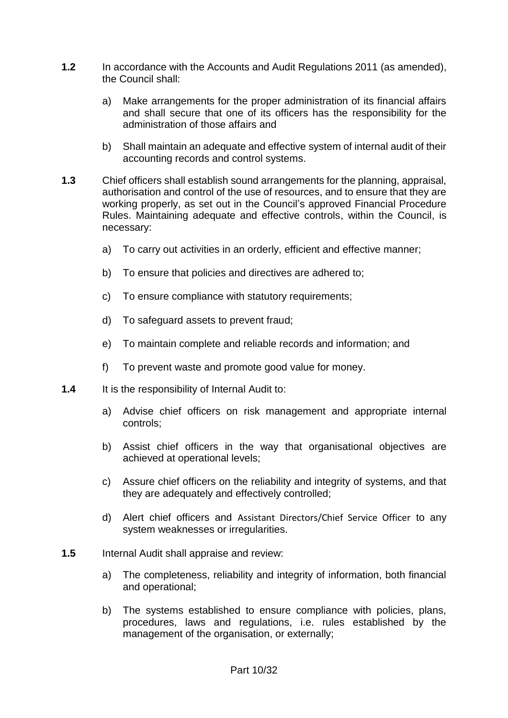- **1.2** In accordance with the Accounts and Audit Regulations 2011 (as amended), the Council shall:
	- a) Make arrangements for the proper administration of its financial affairs and shall secure that one of its officers has the responsibility for the administration of those affairs and
	- b) Shall maintain an adequate and effective system of internal audit of their accounting records and control systems.
- **1.3** Chief officers shall establish sound arrangements for the planning, appraisal, authorisation and control of the use of resources, and to ensure that they are working properly, as set out in the Council's approved Financial Procedure Rules. Maintaining adequate and effective controls, within the Council, is necessary:
	- a) To carry out activities in an orderly, efficient and effective manner;
	- b) To ensure that policies and directives are adhered to;
	- c) To ensure compliance with statutory requirements:
	- d) To safeguard assets to prevent fraud;
	- e) To maintain complete and reliable records and information; and
	- f) To prevent waste and promote good value for money.
- **1.4** It is the responsibility of Internal Audit to:
	- a) Advise chief officers on risk management and appropriate internal controls;
	- b) Assist chief officers in the way that organisational objectives are achieved at operational levels;
	- c) Assure chief officers on the reliability and integrity of systems, and that they are adequately and effectively controlled;
	- d) Alert chief officers and Assistant Directors/Chief Service Officer to any system weaknesses or irregularities.
- **1.5** Internal Audit shall appraise and review:
	- a) The completeness, reliability and integrity of information, both financial and operational;
	- b) The systems established to ensure compliance with policies, plans, procedures, laws and regulations, i.e. rules established by the management of the organisation, or externally;